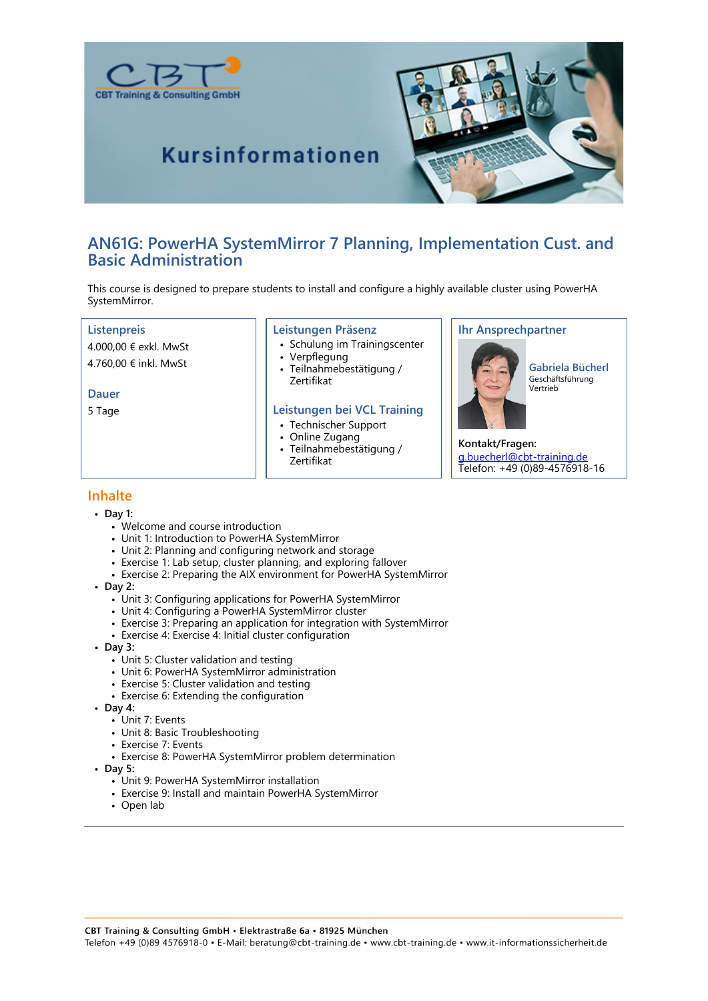



# **Kursinformationen**

# **AN61G: PowerHA SystemMirror 7 Planning, Implementation Cust. and Basic Administration**

This course is designed to prepare students to install and configure a highly available cluster using PowerHA SystemMirror.

#### **Listenpreis**

4.000,00 € exkl. MwSt 4.760,00 € inkl. MwSt

#### **Dauer**

5 Tage

#### **Leistungen Präsenz**

- Schulung im Trainingscenter
	- Verpflegung
- Teilnahmebestätigung / Zertifikat

#### **Leistungen bei VCL Training**

- Technischer Support
- Online Zugang
- Teilnahmebestätigung / Zertifikat

#### **Ihr Ansprechpartner**



**Gabriela Bücherl** Geschäftsführung Vertrieb

**Kontakt/Fragen:** g.buecherl@cbt-training.de Telefon: +49 (0)89-4576918-16

### **Inhalte**

- **Day 1:**
	- Welcome and course introduction
	- Unit 1: Introduction to PowerHA SystemMirror
	- Unit 2: Planning and configuring network and storage
	- Exercise 1: Lab setup, cluster planning, and exploring fallover
	- Exercise 2: Preparing the AIX environment for PowerHA SystemMirror
- **Day 2:**
	- Unit 3: Configuring applications for PowerHA SystemMirror
	- Unit 4: Configuring a PowerHA SystemMirror cluster
	- Exercise 3: Preparing an application for integration with SystemMirror
	- Exercise 4: Exercise 4: Initial cluster configuration
- **Day 3:**
	- Unit 5: Cluster validation and testing
	- Unit 6: PowerHA SystemMirror administration
	- Exercise 5: Cluster validation and testing
	- Exercise 6: Extending the configuration
- **Day 4:**
	- Unit 7: Events
	- Unit 8: Basic Troubleshooting
	- Exercise 7: Events
	- Exercise 8: PowerHA SystemMirror problem determination
- **Day 5:**
	- Unit 9: PowerHA SystemMirror installation
	- Exercise 9: Install and maintain PowerHA SystemMirror
	- Open lab

CBT Training & Consulting GmbH · Elektrastraße 6a · 81925 München Telefon +49 (0)89 4576918-0 · E-Mail: beratung@cbt-training.de · www.cbt-training.de · www.it-informationssicherheit.de